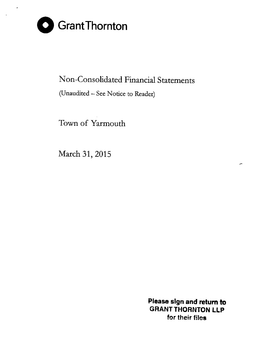

 $\overline{a}$ 

# Non-Consolidated Financial Statements

(Unaudited - See Notice to Reader)

Town of Yarmouth

March 31, 2015

Please sign and retum to **GRANT THORNTON LLP** for their files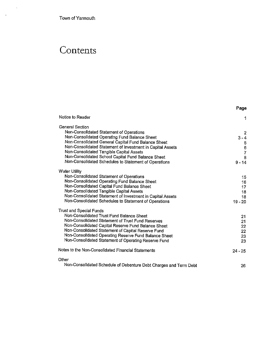Town of Yarmouth

 $\sim$   $\sim$ 

 $\sim$ 

# **Contents**

|                                                                   | Page         |
|-------------------------------------------------------------------|--------------|
| Notice to Reader                                                  | 1            |
| <b>General Section</b>                                            |              |
| Non-Consolidated Statement of Operations                          | $\mathbf{2}$ |
| Non-Consolidated Operating Fund Balance Sheet                     | $3 - 4$      |
| Non-Consolidated General Capital Fund Balance Sheet               |              |
| Non-Consolidated Statement of Investment in Capital Assets        | 5<br>6<br>7  |
| Non-Consolidated Tangible Capital Assets                          |              |
| Non-Consolidated School Capital Fund Balance Sheet                | 8            |
| Non-Consolidated Schedules to Statement of Operations             | $9 - 14$     |
| <b>Water Utility</b>                                              |              |
| Non-Consolidated Statement of Operations                          | 15           |
| Non-Consolidated Operating Fund Balance Sheet                     | 16           |
| Non-Consolidated Capital Fund Balance Sheet                       | 17           |
| Non-Consolidated Tangible Capital Assets                          | 18           |
| Non-Consolidated Statement of Investment in Capital Assets        | 18           |
| Non-Consolidated Schedules to Statement of Operations             | $19 - 20$    |
| Trust and Special Funds                                           |              |
| Non-Consolidated Trust Fund Balance Sheet                         | 21           |
| Non-Consolidated Statement of Trust Fund Reserves                 | 21           |
| Non-Consolidated Capital Reserve Fund Balance Sheet               | 22           |
| Non-Consolidated Statement of Capital Reserve Fund                | 22           |
| Non-Consolidated Operating Reserve Fund Balance Sheet             | 23           |
| Non-Consolidated Statement of Operating Reserve Fund              | 23           |
| Notes to the Non-Consolidated Financial Statements                | $24 - 25$    |
| Other                                                             |              |
| Non-Consolidated Schedule of Debenture Debt Charges and Term Debt | 26           |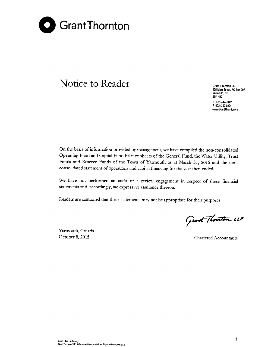

## **Notice to Reader Grant Thornton LLP**

**328 Main Street PO Box 297 Yarmouth, NS 85A482** T (902) 742-7842 F (902) 742-0224 **www.GrantThomton.ca**

On the basis of information provided by management, we have compiled the non-consolidated Operating Fund and Capital Fund balance sheets of the General Fund, the Water Utility, Trust Funds and Reserve Funds of the Town of Yarmouth as at March 31, 2015 and the nonconsolidated statement of operations and capital financing for the year then ended.

**We have not performed an audit or a review engagement in respect of these financial statements and, accordingly, we express no assurance thereon.**

**Readers are cautioned that these statements may not be appropriate for their purposes.**

Yarmouth, Canada

Grant Thouston 11P

October 8, 2015 Chartered Accountants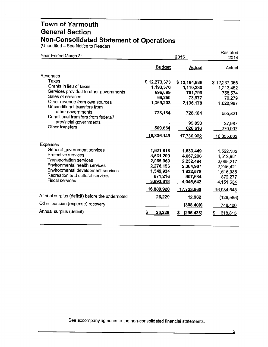(Unaudited – See Notice to Reader)

| Year Ended March 31                                            |               | 2015              |              |  |
|----------------------------------------------------------------|---------------|-------------------|--------------|--|
|                                                                | <b>Budget</b> | <b>Actual</b>     | Actual       |  |
| Revenues                                                       |               |                   |              |  |
| Taxes                                                          | \$12,273,373  | \$12,184,886      | \$12,237,056 |  |
| Grants in lieu of taxes                                        | 1,193,376     | 1,110,230         | 1,213,452    |  |
| Services provided to other governments                         | 696,099       | 781,799           | 758,574      |  |
| Sales of services                                              | 66,250        | 73,977            | 70,279       |  |
| Other revenue from own sources<br>Unconditional transfers from | 1,369,203     | 2,136,178         | 1,620,987    |  |
| other governments<br>Conditional transfers from federal/       | 728,184       | 728,184           | 655,821      |  |
| provincial governments                                         |               | 95,058            | 27,987       |  |
| Other transfers                                                | 509,664       | 626,610           | 270,907      |  |
|                                                                | 16,836,149    | <u>17,736,922</u> | 16,855,063   |  |
| <b>Expenses</b>                                                |               |                   |              |  |
| General government services                                    | 1,621,818     | 1.633,449         | 1,522,162    |  |
| Protective services                                            | 4,531,209     | 4,667,206         | 4,512,981    |  |
| <b>Transportation services</b>                                 | 2,065,969     | 2,252,494         | 2,065,217    |  |
| Environmental health services                                  | 2,276,156     | 2,384,907         | 2,245,421    |  |
| Environmental development services                             | 1,549,934     | 1,832,578         | 1,615,036    |  |
| Recreation and cultural services                               | 871,216       | 907,684           | 872,277      |  |
| <b>Fiscal services</b>                                         | 3,893,618     | 4,045,642         | 4,151,554    |  |
|                                                                | 16,809,920    | 17,723,960        | 16,984,648   |  |
| Annual surplus (deficit) before the undernoted                 | 26,229        | 12,962            | (129, 585)   |  |
| Other pension (expense) recovery                               |               | (308, 400)        | 748,400      |  |
| Annual surplus (deficit)                                       | \$<br>26,229  | \$<br>(295, 438)  | S<br>618,815 |  |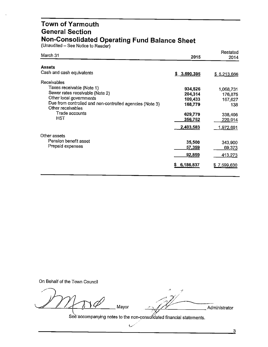#### **Town of Yarmouth General Section Non-Consolidated Operating Fund Balance Sheet**

(Unaudited - See Notice to Reader)

| March 31                                                                      | 2015        | Restated<br>2014  |
|-------------------------------------------------------------------------------|-------------|-------------------|
| <b>Assets</b>                                                                 |             |                   |
| Cash and cash equivalents                                                     | \$3,690,395 | \$5,213,666       |
| <b>Receivables</b>                                                            |             |                   |
| Taxes receivable (Note 1)                                                     | 934,526     | 1,068,731         |
| Sewer rates receivable (Note 2)                                               | 204,314     | 176,875           |
| Other local governments                                                       | 109,433     | 167,627           |
| Due from controlled and non-controlled agencies (Note 3)<br>Other receivables | 168,779     | 138               |
| Trade accounts                                                                | 629,779     | 338,406           |
| <b>HST</b>                                                                    | 356,752     | 220,914           |
|                                                                               | 2,403,583   | <u>1,972,6</u> 91 |
| Other assets                                                                  |             |                   |
| Pension benefit asset                                                         | 35,500      | 343,900           |
| Prepaid expenses                                                              | 57,359      | 69,373            |
|                                                                               | 92,859      | 413,273           |
|                                                                               |             |                   |
|                                                                               | 6,186,837   | \$7,599,630       |

On Behalf of the Town Council

 $m_{\infty}$  .  $\approx$  /2  $\sqrt{1150}$   $\sqrt{149}$  Mayor ... *~ - ·;v*

 $\overline{\mathcal{I}}$ 

 $\cdot$ 

Administrator

See accompanying notes to the non-consofidated financial statements.  $\,$ 

L/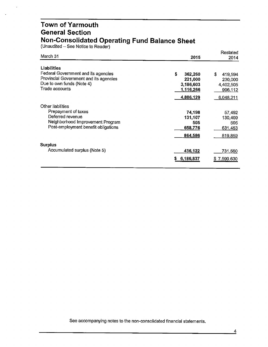#### **Town of Yarmouth General Section Non-Consolidated Operating Fund Balance Sheet**

(Unaudited – See Notice to Reader)

| March 31                                                                      | 2015                 | Restated<br>2014     |
|-------------------------------------------------------------------------------|----------------------|----------------------|
| Liabilities                                                                   |                      |                      |
| Federal Government and its agencies<br>Provincial Government and its agencies | \$<br>362,260        | £<br>419,594         |
| Due to own funds (Note 4)                                                     | 221,000<br>3,186,603 | 230,000              |
| Trade accounts                                                                | 1,116,266            | 4,402,505<br>996,112 |
|                                                                               |                      |                      |
|                                                                               | 4,886,129            | 6,048,211            |
| Other liabilities                                                             |                      |                      |
| Prepayment of taxes                                                           | 74,198               | 57,492               |
| Deferred revenue                                                              | 131,107              | 130,409              |
| Neighborhood Improvement Program                                              | 505                  | 505                  |
| Post-employment benefit obligations                                           | 658,776              | 631,453              |
|                                                                               | 864,586              | 819,859              |
| <b>Surplus</b>                                                                |                      |                      |
| Accumulated surplus (Note 5)                                                  | 436,122              | 731,560              |
|                                                                               | 6,186,837<br>S       | 7,599,630<br>S       |
|                                                                               |                      |                      |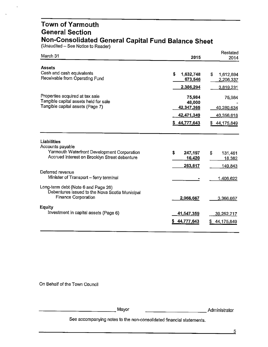#### **Town of Yarmouth General Section Non-Consolidated General Capital Fund Balance Sheet**

(Unaudited – See Notice to Reader)

| March 31                                                                                                            | 2015                           | Restated<br>2014            |
|---------------------------------------------------------------------------------------------------------------------|--------------------------------|-----------------------------|
| <b>Assets</b>                                                                                                       |                                |                             |
| Cash and cash equivalents<br>Receivable from Operating Fund                                                         | S<br>1,632,748<br>673,546      | S<br>1,612,894<br>2,206,337 |
|                                                                                                                     | 2,306,294                      | 3,819,231                   |
| Properties acquired at tax sale<br>Tangible capital assets held for sale<br>Tangible capital assets (Page 7)        | 75,984<br>48,000<br>42,347,365 | 75,984<br>40,280,634        |
|                                                                                                                     | 42,471,349                     | 40,356,618                  |
|                                                                                                                     | \$44,777,643                   | \$44,175,849                |
| Liabilities<br>Accounts payable                                                                                     |                                |                             |
| Yarmouth Waterfront Development Corporation<br>Accrued interest on Brooklyn Street debenture                        | S<br>247,197<br>16,420         | \$<br>131,461<br>18,382     |
|                                                                                                                     | 263,617                        | 149,843                     |
| Deferred revenue<br>Minister of Transport - ferry terminal                                                          |                                | 1,406,622                   |
| Long-term debt (Note 6 and Page 26)<br>Debentures issued to the Nova Scotia Municipal<br><b>Finance Corporation</b> | 2,966,667                      | 3,366,667                   |
| Equity                                                                                                              |                                |                             |
| Investment in capital assets (Page 6)                                                                               | 41,547,359<br>44,777,643       | 39,252,717<br>44,175,849    |

On Behalf of the Town Council

-------------Mayor \_\_\_\_\_\_\_\_\_\_ Administrator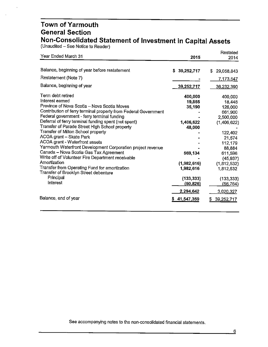#### **Town of Yarmouth General Section Non-Consolidated Statement of Investment in Capital Assets**

(Unaudited – See Notice to Reader)

| Year Ended March 31                                                                                                                                                                                                                                                                                                                                                                                                                                                                                                                                                                                                                                                                                                 | 2015                                                                                                                                    | Restated<br>2014                                                                                                                                                                                          |
|---------------------------------------------------------------------------------------------------------------------------------------------------------------------------------------------------------------------------------------------------------------------------------------------------------------------------------------------------------------------------------------------------------------------------------------------------------------------------------------------------------------------------------------------------------------------------------------------------------------------------------------------------------------------------------------------------------------------|-----------------------------------------------------------------------------------------------------------------------------------------|-----------------------------------------------------------------------------------------------------------------------------------------------------------------------------------------------------------|
| Balance, beginning of year before restatement<br>Restatement (Note 7)                                                                                                                                                                                                                                                                                                                                                                                                                                                                                                                                                                                                                                               | \$39,252,717                                                                                                                            | 29,058,843<br>S.<br>7,173,547                                                                                                                                                                             |
| Balance, beginning of year                                                                                                                                                                                                                                                                                                                                                                                                                                                                                                                                                                                                                                                                                          | 39,252,717                                                                                                                              | <u>36,232,390</u>                                                                                                                                                                                         |
| Term debt retired<br>Interest earned<br>Province of Nova Scotia - Nova Scotia Moves<br>Contribution of ferry terminal property from Federal Government<br>Federal government - ferry terminal funding<br>Deferral of ferry terminal funding spent (not spent)<br>Transfer of Parade Street High School property<br>Transfer of Milton School property<br>ACOA grant - Skate Park<br>ACOA grant - Waterfront assets<br>Yarmouth Waterfront Development Corporation project revenue<br>Canada - Nova Scotia Gas Tax Agreement<br>Write off of Volunteer Fire Department receivable<br>Amortization<br>Transfer from Operating Fund for amortization<br>Transfer of Brooklyn Street debenture<br>Principal<br>Interest | 400,000<br>19,855<br>35,190<br>1,406,622<br>48,000<br>569,134<br>(1,982,616)<br>1,982,616<br>(133, 333)<br><u>(50,826)</u><br>2,294,642 | 400,000<br>18,448<br>126,000<br>661,900<br>2,500,000<br>(1,406,622)<br>122,402<br>21,574<br>112,179<br>88,884<br>611,596<br>(45, 937)<br>(1,812,532)<br>1,812,532<br>(133, 333)<br>(56, 764)<br>3,020,327 |
| Balance, end of year                                                                                                                                                                                                                                                                                                                                                                                                                                                                                                                                                                                                                                                                                                | \$41,547,359                                                                                                                            | 39,252,717<br>S.                                                                                                                                                                                          |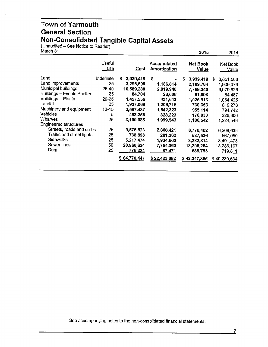#### **Town of Yarmouth General Section Non-Consolidated Tangible Capital Assets**

(Unaudited – See Notice to Reader)

| March 31                                                                                                                                                                                                                                                                                                     |                                                                                                          |                                                                                                                                                                                   |                                                                                                                                                                 | 2015                                                                                                                                                                         | 2014                                                                                                                                                                        |
|--------------------------------------------------------------------------------------------------------------------------------------------------------------------------------------------------------------------------------------------------------------------------------------------------------------|----------------------------------------------------------------------------------------------------------|-----------------------------------------------------------------------------------------------------------------------------------------------------------------------------------|-----------------------------------------------------------------------------------------------------------------------------------------------------------------|------------------------------------------------------------------------------------------------------------------------------------------------------------------------------|-----------------------------------------------------------------------------------------------------------------------------------------------------------------------------|
|                                                                                                                                                                                                                                                                                                              | Useful<br>Life                                                                                           | Cost                                                                                                                                                                              | Accumulated<br><b>Amortization</b>                                                                                                                              | Net Book<br>Value                                                                                                                                                            | Net Book<br>Value                                                                                                                                                           |
| Land<br>Land improvements<br>Municipal buildings<br><b>Buildings - Events Shelter</b><br>Buildings - Plants<br>Landfill<br>Machinery and equipment<br><b>Vehicles</b><br>Wharves<br><b>Engineered structures</b><br>Streets, roads and curbs<br>Traffic and street lights<br>Sidewalks<br>Sewer lines<br>Dam | Indefinite<br>25<br>25-40<br>25<br>$20 - 25$<br>25<br>$10 - 15$<br>5<br>25<br>25<br>25<br>25<br>50<br>25 | \$<br>3,939,419<br>3,296,598<br>10,589,280<br>84,704<br>1,457,556<br>1,937,069<br>2,597,437<br>498,256<br>3,100,085<br>9,576,823<br>738,898<br>5,217,474<br>20,960,624<br>776,224 | \$<br>1,186,814<br>2,819,940<br>23,606<br>431,643<br>1,206,716<br>1,642,323<br>328,223<br>1,999,543<br>2,806,421<br>201,362<br>1,934,660<br>7,754,360<br>87,471 | \$<br>3,939,419<br>2,109,784<br>7,769,340<br>61,098<br>1,025,913<br>730,353<br>955,114<br>170,033<br>1,100,542<br>6,770,402<br>537,536<br>3,282,814<br>13,206,264<br>688,753 | 3,851,503<br>S<br>1,909,076<br>6,079,626<br>64,487<br>1,084,425<br>819,278<br>794,742<br>228,806<br>1,224,546<br>6,209,635<br>567,059<br>3,491,473<br>13,236,167<br>719,811 |
|                                                                                                                                                                                                                                                                                                              |                                                                                                          | \$64,770,447                                                                                                                                                                      | \$22,423,082                                                                                                                                                    | \$42,347,365                                                                                                                                                                 | \$40,280,634                                                                                                                                                                |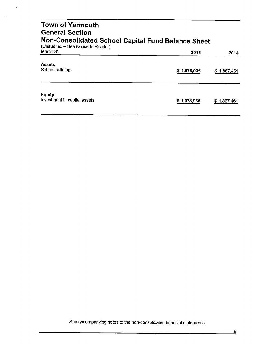| <b>Town of Yarmouth</b><br><b>General Section</b><br>Non-Consolidated School Capital Fund Balance Sheet<br>(Unaudited - See Notice to Reader) |             |                 |  |
|-----------------------------------------------------------------------------------------------------------------------------------------------|-------------|-----------------|--|
| March 31                                                                                                                                      | 2015        | 2014            |  |
| <b>Assets</b><br>School buildings                                                                                                             | \$1,078,936 | \$1,867,461     |  |
| <b>Equity</b><br>Investment in capital assets                                                                                                 | \$1,078,936 | 1,867,461<br>S. |  |

 $\hat{\mathbf{r}}$ 

 $\overline{a}$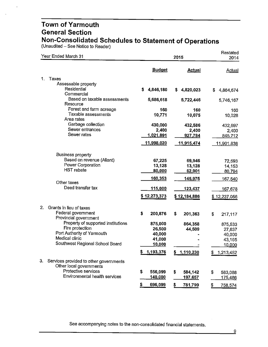(Unaudited - See Notice to Reader)

| Year Ended March 31                                                     |                                    | 2015                  |                  |  |
|-------------------------------------------------------------------------|------------------------------------|-----------------------|------------------|--|
|                                                                         | <b>Budget</b>                      | <b>Actual</b>         | <b>Actual</b>    |  |
| 1.<br>Taxes                                                             |                                    |                       |                  |  |
| Assessable property                                                     |                                    |                       |                  |  |
| Residential                                                             | \$<br>4,846,180                    | 4,820,023<br>S.       | \$.<br>4,864,674 |  |
| Commercial<br>Based on taxable assessments<br>Resource                  | 5,686,618                          | 5,722,446             | 5,746,167        |  |
| Forest and farm acreage                                                 | 160                                | 160                   | 160              |  |
| Taxable assessments                                                     | 10,771                             | 10,075                | 10,028           |  |
| Area rates<br>Garbage collection                                        | 430,000                            |                       |                  |  |
| Sewer entrances                                                         | 2,400                              | 432,586<br>2,400      | 432,697<br>2,400 |  |
| Sewer rates                                                             | <u>1,021,891</u>                   | 927,784               | 845,712          |  |
|                                                                         | <u>11,998,020</u>                  | 11,915,474            | 11,901,838       |  |
|                                                                         |                                    |                       |                  |  |
| <b>Business property</b>                                                |                                    |                       |                  |  |
| Based on revenue (Aliant)                                               | 67,225                             | 69,946                | 72,593           |  |
| Power Corporation                                                       | 13,128                             | 13,128                | 14,153           |  |
| <b>HST</b> rebate                                                       | 80,000                             | 62,901                | 80,794           |  |
| Other taxes                                                             | 160,353                            | 145,975               | 167,540          |  |
| Deed transfer tax                                                       | <u>115,000</u>                     | <u>123,437</u>        | <u>167,678</u>   |  |
|                                                                         | \$12,273,373                       | \$12,184,886          | \$12,237,056     |  |
| 2.<br>Grants in lieu of taxes                                           |                                    |                       |                  |  |
| Federal government<br>Provincial government                             | \$<br>200,876                      | \$<br>201,363         | \$<br>217,117    |  |
| Property of supported institutions                                      | 875,000                            | 864,358               | 875,533          |  |
| Fire protection                                                         | 26,500                             | 44,509                | 27,637           |  |
| Port Authority of Yarmouth                                              | 40,000                             |                       | 40,000           |  |
| Medical clinic                                                          | 41,000                             |                       | 43,165           |  |
| Southwest Regional School Board                                         | 10,000                             |                       | 10,000           |  |
|                                                                         | 1,193,376<br>\$                    | φ<br><u>1,110,230</u> | 1,213,452<br>\$  |  |
| 3.<br>Services provided to other governments<br>Other local governments |                                    |                       |                  |  |
| Protective services                                                     | \$<br>556,099                      | \$<br>584,142         | \$<br>583,088    |  |
| Environmental health services                                           | 140,000                            | 197,657               | <u>175,486</u>   |  |
|                                                                         | $\overline{\mathbf{S}}$<br>696,099 | \$<br>781,799         | \$<br>758,574    |  |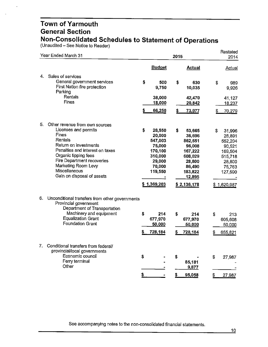(Unaudited – See Notice to Reader)

|    | Year Ended March 31                                                                                                                                                                                                                                                |          |                                                                                                           | 2015     |                                                                                                                     |          | Restated<br>2014                                                                                          |
|----|--------------------------------------------------------------------------------------------------------------------------------------------------------------------------------------------------------------------------------------------------------------------|----------|-----------------------------------------------------------------------------------------------------------|----------|---------------------------------------------------------------------------------------------------------------------|----------|-----------------------------------------------------------------------------------------------------------|
|    |                                                                                                                                                                                                                                                                    |          | <b>Budget</b>                                                                                             |          | <b>Actual</b>                                                                                                       |          | <b>Actual</b>                                                                                             |
| 4. | Sales of services<br>General government services<br>First Nation fire protection<br>Parking<br><b>Rentals</b>                                                                                                                                                      | \$       | 500<br>9,750<br>38,000                                                                                    | \$       | 630<br>10,035<br>42,470                                                                                             | \$       | 989<br>9,926<br>41,127                                                                                    |
|    | Fines                                                                                                                                                                                                                                                              |          | 18,000<br>66,250                                                                                          | \$       | 20,842<br>73,977                                                                                                    | 5        | 18,237<br>70,279                                                                                          |
| 5. | Other revenue from own sources<br>Licenses and permits<br>Fines<br>Rentals<br>Return on investments<br>Penalties and interest on taxes<br>Organic tipping fees<br>Fire Department recoveries<br>Marketing Room Levy<br>Miscellaneous<br>Gain on disposal of assets | \$       | 28,550<br>20,000<br>547,003<br>75,000<br>170,100<br>310,000<br>29,000<br>70,000<br>119,550<br>\$1,369,203 | \$       | 53,665<br>36,696<br>862,551<br>96,008<br>167,222<br>608,029<br>28,800<br>86,490<br>183,822<br>12,895<br>\$2,136,178 | \$       | 31,996<br>28,891<br>552,204<br>90,521<br>169,504<br>515,718<br>28,800<br>75,763<br>127,590<br>\$1,620,987 |
| 6. | Unconditional transfers from other governments<br>Provincial government<br>Department of Transportation<br>Machinery and equipment<br><b>Equalization Grant</b><br><b>Foundation Grant</b>                                                                         | \$<br>S  | 214<br>677,970<br>50,000<br>728,184                                                                       | \$<br>\$ | 214<br>677,970<br>50,000<br>728,184                                                                                 | S        | 213<br>605,608<br>50,000<br>655,821                                                                       |
| 7. | Conditional transfers from federal/<br>provincial/local governments<br>Economic council<br>Ferry terminal<br>Other                                                                                                                                                 | \$<br>\$ |                                                                                                           | \$<br>S  | 85,181<br>9,877<br>95,058                                                                                           | \$<br>\$ | 27,987<br>27,987                                                                                          |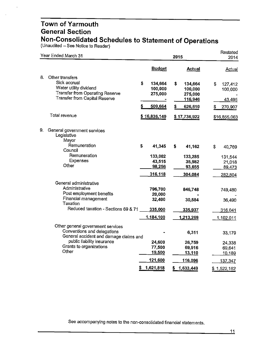(Unaudited – See Notice to Reader

| Year Ended March 31                                                                                                                               |                                                          | 2015                                                            |                                                     |  |
|---------------------------------------------------------------------------------------------------------------------------------------------------|----------------------------------------------------------|-----------------------------------------------------------------|-----------------------------------------------------|--|
|                                                                                                                                                   | <b>Budget</b>                                            | <b>Actual</b>                                                   | <b>Actual</b>                                       |  |
| 8.<br>Other transfers<br>Sick accrual<br>Water utility dividend<br><b>Transfer from Operating Reserve</b><br><b>Transfer from Capital Reserve</b> | \$<br>134,664<br>100,000<br>275,000<br>\$<br>509,664     | \$<br>134,664<br>100,000<br>275,000<br>116,946<br>\$<br>626,610 | \$<br>127,412<br>100,000<br>43,495<br>\$<br>270,907 |  |
| Total revenue                                                                                                                                     | \$16,836,149                                             | \$17,736,922                                                    | \$16,855,063                                        |  |
| 9.<br>General government services<br>Legislative<br>Mayor<br>Remuneration<br>Council<br>Remuneration<br>Expenses<br>Other                         | \$<br>41,345<br>133,002<br>43,515<br>98,256              | S<br>41,162<br>133,285<br>35,982<br>93,655                      | \$<br>40,769<br>131,544<br>21,018<br>89,473         |  |
| General administrative<br>Administrative<br>Post employment benefits<br>Financial management<br>Taxation<br>Reduced taxation - Sections 69 & 71   | 316,118<br>796,700<br>20,000<br>32,400<br>335,000        | 304,084<br>846,748<br>30,584<br>335,937                         | 282,804<br>749,480<br>36,490<br>316,041             |  |
| Other general government services<br>Conventions and delegations                                                                                  | 1,184,100                                                | 1,213,269<br>6,311                                              | 1,102,011<br>33,179                                 |  |
| General accident and damage claims and<br>public liability insurance<br>Grants to organizations<br>Other                                          | 24,600<br>77,500<br>19,500<br>121,600<br>1,621,818<br>5. | 26,759<br>69,916<br>13,110<br>116,096<br>1,633,449<br>S         | 24,338<br>69,641<br>10,189<br>137,347               |  |
|                                                                                                                                                   |                                                          |                                                                 | \$1,522,162                                         |  |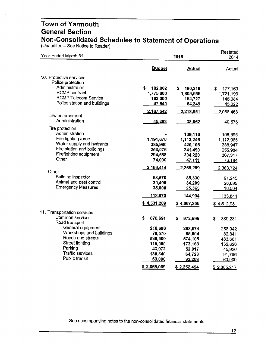(Unaudited – See Notice to Reader)

| Year Ended March 31                                  |               | 2015          |               |  |
|------------------------------------------------------|---------------|---------------|---------------|--|
|                                                      | <b>Budget</b> | <b>Actual</b> | <b>Actual</b> |  |
| 10. Protective services                              |               |               |               |  |
| Police protection                                    |               |               |               |  |
| Administration                                       | \$<br>182,002 | \$<br>180,319 | \$<br>177,169 |  |
| <b>RCMP</b> contract                                 | 1,775,000     | 1,809,656     | 1,721,193     |  |
| <b>RCMP Telecom Service</b>                          | 163,000       | 164,727       | 145,084       |  |
| Police station and buildings                         | 47,540        | 64,249        | 45,022        |  |
|                                                      | 2,167,542     | 2,218,951     | 2,088,468     |  |
| Law enforcement                                      |               |               |               |  |
| Administration                                       | 45,283        | 38,062        | 40,576        |  |
| Fire protection                                      |               |               |               |  |
| Administration                                       |               | 139,116       | 108,695       |  |
| Fire fighting force                                  | 1,191,670     | 1,113,246     | 1,112,966     |  |
| Water supply and hydrants                            | 385,980       | 420,106       | 388,947       |  |
| Fire station and buildings                           | 253,076       | 241,490       | 255,984       |  |
| Firefighting equipment                               | 294,688       | 304,220       | 307,317       |  |
| Other                                                | 74,000        | 47,111        | 76,184        |  |
|                                                      | 2,199,414     | 2,265,289     | 2,363,724     |  |
| Other                                                |               |               |               |  |
| <b>Building inspector</b><br>Animal and pest control | 53,570        | 85,330        | 91,245        |  |
| <b>Emergency Measures</b>                            | 30,400        | 34,209        | 26,095        |  |
|                                                      | 35,000        | 25,365        | 16,504        |  |
|                                                      | 118,970       | 144,904       | 133,844       |  |
|                                                      | \$4,531,209   | \$4,667,206   | \$4,512,981   |  |
| 11. Transportation services                          |               |               |               |  |
| Common services<br>Road transport                    | S<br>878,691  | \$<br>972,595 | \$<br>889,231 |  |
| General equipment                                    | 218,696       | 298,674       | 258,942       |  |
| Workshops and buildings                              | 79,570        | 85,004        | 82,841        |  |
| Roads and streets                                    | 539,500       | 574,105       | 483,661       |  |
| <b>Street lighting</b>                               | 115,000       | 173,168       | 152,826       |  |
| Parking                                              | 43,972        | 52,017        | 45,920        |  |
| Traffic services                                     | 130,540       | 64,723        | 91,796        |  |
| Public transit                                       | 60,000        | 32,208        | 60,000        |  |
|                                                      | \$2,065,969   | \$2,252,494   | \$2,065,217   |  |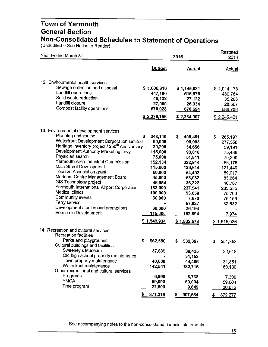(Unaudited – See Notice to Reader)

| Year Ended March 31                                                                                                                                                                                                                                                                                                                                                                                                                                                                                                                                                    |                                                                                                                                                                                        | 2015                                                                                                                                                                                         |                                                                                                                                                                            |  |
|------------------------------------------------------------------------------------------------------------------------------------------------------------------------------------------------------------------------------------------------------------------------------------------------------------------------------------------------------------------------------------------------------------------------------------------------------------------------------------------------------------------------------------------------------------------------|----------------------------------------------------------------------------------------------------------------------------------------------------------------------------------------|----------------------------------------------------------------------------------------------------------------------------------------------------------------------------------------------|----------------------------------------------------------------------------------------------------------------------------------------------------------------------------|--|
|                                                                                                                                                                                                                                                                                                                                                                                                                                                                                                                                                                        | <b>Budget</b>                                                                                                                                                                          | <b>Actual</b>                                                                                                                                                                                | Actual                                                                                                                                                                     |  |
| 12. Environmental health services<br>Sewage collection and disposal<br>Landfill operations<br>Solid waste reduction<br>Landfill closure<br>Compost facility operations                                                                                                                                                                                                                                                                                                                                                                                                 | \$1,086,816<br>447,180<br>45,132<br>27,000<br>670,028<br>\$2,276,156                                                                                                                   | \$1,145,081<br>515,976<br>27,122<br>26,034<br>670,694<br>\$2,384,907                                                                                                                         | \$1,014,178<br>480,764<br>35,206<br>28,567<br>686,706<br>\$2,245,421                                                                                                       |  |
| 13. Environmental development services<br>Planning and zoning<br>Waterfront Development Corporation Limited<br>Heritage inventory project / 250 <sup>th</sup> Anniversary<br>Development Authority Marketing Levy<br>Physician search<br>Yarmouth Area Industrial Commission<br>Main Street Development<br>Tourism Association grant<br>Mariners Centre Management Board<br>GIS Technology project<br>Yarmouth International Airport Corporation<br>Medical clinics<br>Community events<br>Ferry service<br>Development studies and promotions<br>Economic Development | \$<br>348,146<br>90,000<br>39,700<br>115,000<br>75,000<br>152,134<br>115,000<br>60,000<br>45,000<br>46,954<br>188,000<br>100,000<br>30,000<br>30,000<br><u> 115,000</u><br>\$1,549,934 | \$<br>405,481<br>90,003<br>34,656<br>93,818<br>51,811<br>322,914<br>139,614<br>54,492<br>68,082<br>36,322<br>237,941<br>53,659<br>7,670<br>57,027<br>26,194<br><u>152,894</u><br>\$1,832,578 | \$<br>265,197<br>277,358<br>59,191<br>75,489<br>70,300<br>56,176<br>121,440<br>89,017<br>85,064<br>40,787<br>283,555<br>75,700<br>75,156<br>32,632<br>7,974<br>\$1,615,036 |  |
| 14. Recreation and cultural services<br>Recreation facilities<br>Parks and playgrounds<br>Cultural buildings and facilities<br>Sweeney's Museum<br>Old high school property maintenance<br>Town property maintenance<br>Waterfront maintenance<br>Other recreational and cultural services<br>Programs<br><b>YMCA</b><br>Tree program                                                                                                                                                                                                                                  | S<br>562,580<br>37,635<br>40,000<br>142,541<br>6,960<br>59,000<br><u>22,500</u><br>871,216                                                                                             | S<br>532,397<br>39,425<br>31,153<br>44,406<br>182,716<br>8,738<br>59,004<br>9,845<br>907,684<br>5                                                                                            | S<br>551,353<br>32,618<br>31,851<br>160,130<br>7,309<br>59,004<br>30,012<br>872,277                                                                                        |  |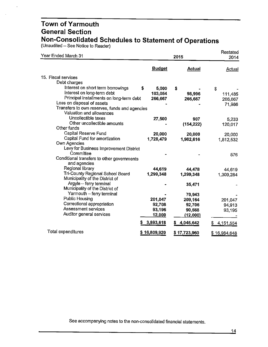(Unaudited – See Notice to Reader)

| Year Ended March 31                                        |               | 2015         |              |
|------------------------------------------------------------|---------------|--------------|--------------|
|                                                            | <b>Budget</b> | Actual       | Actual       |
| 15. Fiscal services                                        |               |              |              |
| Debt charges                                               |               |              |              |
| Interest on short term borrowings                          | \$<br>5,000   | \$           | \$           |
| interest on long-term debt                                 | 103,054       | 98,996       | 111,485      |
| Principal installments on long-term debt                   | 266,667       | 266,667      | 266,667      |
| Loss on disposal of assets                                 |               |              | 71,986       |
| Transfers to own reserves, funds and agencies              |               |              |              |
| Valuation and allowances                                   |               |              |              |
| Uncollectible taxes                                        | 27,500        | 907          | 5,233        |
| Other uncollectible amounts                                |               | (154, 222)   | 120,017      |
| Other funds                                                |               |              |              |
| Capital Reserve Fund                                       | 20,000        | 20,000       | 20,000       |
| Capital Fund for amortization                              | 1,728,479     | 1,982,616    | 1,812,532    |
| Own Agencies                                               |               |              |              |
| Levy for Business Improvement District                     |               |              |              |
| Committee                                                  |               |              | 576          |
| Conditional transfers to other governments<br>and agencies |               |              |              |
| Regional library                                           | 44,619        |              |              |
| Tri-County Regional School Board                           | 1,299,348     | 44,478       | 44,619       |
| Municipality of the District of                            |               | 1,299,348    | 1,309,284    |
| Argyle - ferry terminal                                    |               | 35,471       |              |
| Municipality of the District of                            |               |              |              |
| Yarmouth - ferry terminal                                  |               | 70,943       |              |
| <b>Public Housing</b>                                      | 201,047       | 209,164      | 201,047      |
| Correctional appropriation                                 | 92,708        | 92,706       | 94,913       |
| Assessment services                                        | 93,196        | 90,568       | 93,195       |
| Auditor general services                                   | 12,000        | (12,000)     |              |
|                                                            | 3,893,618     | 4,045,642    | 4,151,554    |
| Total expenditures                                         | \$16,809,920  | \$17,723,960 | \$16,984,648 |
|                                                            |               |              |              |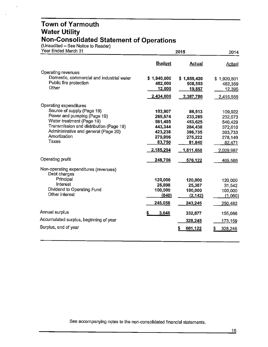#### **Town of Yarmouth Water Utility Non-Consolidated Statement of Operations**

(Unaudited – See Notice to Reader)

| Year Ended March 31                                   |               | 2015             |               |  |
|-------------------------------------------------------|---------------|------------------|---------------|--|
|                                                       | <b>Budget</b> | <b>Actual</b>    | <b>Actual</b> |  |
| Operating revenues                                    |               |                  |               |  |
| Domestic, commercial and industrial water             | \$1,940,000   | \$1,859,420      | \$1,920,801   |  |
| Public fire protection                                | 482,000       | 508,503          | 482,359       |  |
| Other                                                 | 12,000        | 19,857           | 12,395        |  |
|                                                       | 2,434,000     | 2,387,780        | 2,415,555     |  |
| Operating expenditures                                |               |                  |               |  |
| Source of supply (Page 19)                            | 103,907       | 86,513           | 109,922       |  |
| Power and pumping (Page 19)                           | 269,574       | 233,285          | 232,673       |  |
| Water treatment (Page 19)                             | 581,485       | 453,625          | 540,429       |  |
| Transmission and distribution (Page 19)               | 443,344       | 284,438          | 372,610       |  |
| Administrative and general (Page 20)                  | 423,238       | 396,735          | 393,733       |  |
| Amortization<br>Taxes                                 | 279,996       | 275,222          | 278,149       |  |
|                                                       | 83,750        | 81,840           | 82,471        |  |
|                                                       | 2,185,294     | <u>1,811,658</u> | 2,009,987     |  |
| Operating profit                                      | 248,706       | 576.122          | 405,568       |  |
| Non-operating expenditures (revenues)<br>Debt charges |               |                  |               |  |
| Principal                                             | 120,000       | 120,000          | 120,000       |  |
| Interest                                              | 25,898        | 25,387           | 31,542        |  |
| Dividend to Operating Fund                            | 100,000       | 100,000          | 100,000       |  |
| Other interest                                        | (840)         | (2, 142)         | (1,060)       |  |
|                                                       | 245,058       | 243,245          | 250,482       |  |
| Annual surplus                                        | 3,648<br>s    | 332,877          | 155,086       |  |
| Accumulated surplus, beginning of year                |               | 328,245          | 173,159       |  |
| Surplus, end of year                                  |               | 661,122          | 328,245<br>S  |  |
|                                                       |               |                  |               |  |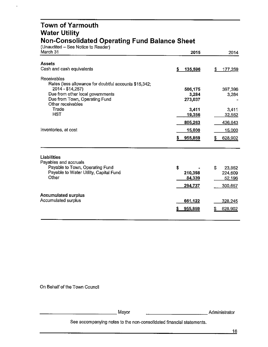#### **Town of Yarmouth Water Utility Non-Consolidated Operating Fund Balance Sheet**

(Unaudited - See Notice to Reader)

| March 31                                                                                 | 2015           | 2014          |
|------------------------------------------------------------------------------------------|----------------|---------------|
| <b>Assets</b>                                                                            |                |               |
| Cash and cash equivalents                                                                | 135,596<br>\$. | \$<br>177,259 |
| Receivables<br>Rates (less allowance for doubtful accounts \$15,342;<br>2014 - \$14,257) | 506,175        | 397,396       |
| Due from other local governments                                                         | 3,284          | 3,284         |
| Due from Town, Operating Fund<br>Other receivables                                       | 273,037        |               |
| Trade                                                                                    | 3,411          | 3,411         |
| <b>HST</b>                                                                               | 19,356         | 32,552        |
|                                                                                          | 805,263        | 436,643       |
| Inventories, at cost                                                                     | 15,000         | 15,000        |
|                                                                                          | 955,859        | 628,902       |
| <b>Liabilities</b><br>Payables and accruals                                              |                |               |
| Payable to Town, Operating Fund                                                          | \$             | S<br>23,852   |
| Payable to Water Utility, Capital Fund                                                   | 210,398        | 224,609       |
| Other                                                                                    | 84,339         | 52,196        |
|                                                                                          | 294,737        | 300,657       |
| <b>Accumulated surplus</b>                                                               |                |               |
| Accumulated surplus                                                                      | 661,122        | 328,245       |
|                                                                                          | 955,859        | 628,902       |
|                                                                                          |                |               |

On Behalf of the Town Council

\_\_\_\_\_\_\_\_\_\_\_\_\_ Mayor \_\_\_\_\_\_\_\_\_\_\_ Administrator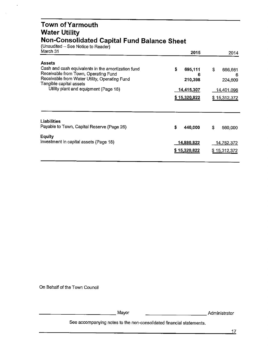#### **Town ofYarmouth Water Utility Non-Consolidated Capital Fund Balance Sheet**

(Unaudited – See Notice to Reader)

 $\overline{\phantom{a}}$ 

| March 31                                                                                                                                                                                | 2015                          | 2014                          |
|-----------------------------------------------------------------------------------------------------------------------------------------------------------------------------------------|-------------------------------|-------------------------------|
| <b>Assets</b><br>Cash and cash equivalents in the amortization fund<br>Receivable from Town, Operating Fund<br>Receivable from Water Utility, Operating Fund<br>Tangible capital assets | \$<br>695,111<br>6<br>210,398 | \$<br>686,661<br>6<br>224,609 |
| Utility plant and equipment (Page 18)                                                                                                                                                   | 14,415,307<br>\$15,320,822    | 14,401,096<br>\$15,312,372    |
| Liabilities<br>Payable to Town, Capital Reserve (Page 26)<br>Equity                                                                                                                     | \$<br>440,000                 | S<br>560,000                  |
| Investment in capital assets (Page 18)                                                                                                                                                  | 14,880,822<br>\$15,320,822    | 14,752,372<br>\$15,312,372    |

On Behalf of the Town Council

------------Mayor \_\_\_\_\_\_\_\_\_\_\_ Administrator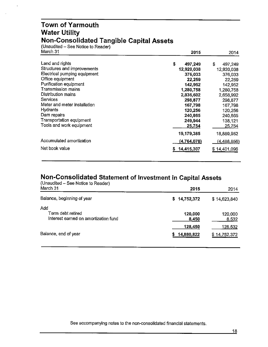#### **Town of Yarmouth Water Utility Non-Consolidated Tangible Capital Assets**

(Unaudited – See Notice to Reader)

 $\ddot{\phantom{a}}$ 

| March 31                     | 2015          | 2014             |
|------------------------------|---------------|------------------|
| Land and rights              | \$<br>497,249 | S<br>497,249     |
| Structures and improvements  | 12,920,038    | 12,920,038       |
| Electrical pumping equipment | 376,033       | 376,033          |
| Office equipment             | 22,259        | 22,259           |
| Purification equipment       | 142,952       | 142,952          |
| <b>Transmission mains</b>    | 1,280,758     | 1,280,758        |
| Distribution mains           | 2,836,602     | 2,658,992        |
| Services                     | 298,877       | 298,877          |
| Meter and meter installation | 167,798       | 167.798          |
| Hydrants                     | 120,256       | 120,256          |
| Dam repairs                  | 240,865       | 240,865          |
| Transportation equipment     | 249,944       | 138,121          |
| Tools and work equipment     | 25,754        | <u>25,754</u>    |
|                              | 19,179,385    | 18,889,952       |
| Accumulated amortization     | (4,764,078)   | (4, 488, 856)    |
| Net book value               | 14,415,307    | 14,401,096<br>S. |

#### **Non-Consolidated Statement of Investment in Capital Assets**

| (Unaudited – See Notice to Reader)<br>March 31                   | 2015                  | 2014                    |
|------------------------------------------------------------------|-----------------------|-------------------------|
| Balance, beginning of year                                       | \$14,752,372          | \$14,623,840            |
| Add<br>Term debt retired<br>Interest earned on amortization fund | 120,000<br>8,450      | 120,000<br>8,532        |
| Balance, end of year                                             | 128,450<br>14,880,822 | 128,532<br>\$14,752,372 |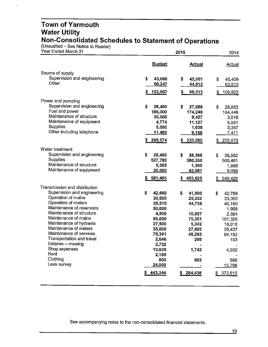#### **Town of Yarmouth Water Utility Non-Consolidated Schedules to Statement of Operations**

 $(Unaudited - See Notice to Reader)$ 

 $\ddot{\phantom{0}}$ 

| Year Ended March 31                                  |                 | 2014            |                  |
|------------------------------------------------------|-----------------|-----------------|------------------|
|                                                      | <b>Budget</b>   | Actual          | Actual           |
| Source of supply                                     |                 |                 |                  |
| Supervision and engineering                          | \$<br>43,660    | \$<br>42,001    | \$<br>46,409     |
| Other                                                | 60,247          | 44,512          | 63,513           |
|                                                      | 103,907<br>\$   | \$<br>86,513    | 109,922<br>S     |
| Power and pumping                                    |                 |                 |                  |
| Supervision and engineering                          | \$<br>28,400    | \$<br>27,688    | \$<br>28,882     |
| Fuel and power                                       | 185,000         | 174,249         | 184,446          |
| Maintenance of structure                             | 35,000          | 9,427           | 3,016            |
| Maintenance of equipment<br><b>Supplies</b>          | 4,774           | 11,127          | 5,561            |
| Other including telephone                            | 5,000<br>11,400 | 1,636           | 3,357            |
|                                                      |                 | 9,158           | 7,411            |
|                                                      | 269,574         | 233,285         | 232,673          |
| Water treatment                                      |                 |                 |                  |
| Supervision and engineering                          | \$<br>28,400    | \$<br>28,388    | \$<br>28,882     |
| Supplies                                             | 527,780         | 380,350         | 500,461          |
| Maintenance of structure<br>Maintenance of equipment | 5,305           | 1,300           | 1,998            |
|                                                      | 20,000          | 43,587          | 9,088            |
|                                                      | 581,485         | \$<br>453,625   | 540,429<br>S.    |
| Transmission and distribution                        |                 |                 |                  |
| Supervision and engineering                          | \$<br>42,660    | \$<br>41,000    | \$<br>42,768     |
| Operation of mains                                   | 30,000          | 29,332          | 23,355           |
| Operation of meters<br>Maintenance of reservoirs     | 39,510          | 44,736          | 40,160           |
| Maintenance of structure                             | 50,000          |                 | 1,998            |
| Maintenance of mains                                 | 4,500<br>95,000 | 10,027          | 2,364            |
| Maintenance of hydrants                              | 27,500          | 75,351<br>5,342 | 101,326          |
| Maintenance of meters                                | 35,000          | 27,692          | 18,016<br>29,437 |
| Maintenance of services                              | 76,391          | 48,293          | 94,152           |
| Transportation and travel                            | 2,046           | 260             | 153              |
| Salaries - mowing                                    | 2,732           |                 |                  |
| Shop expenses                                        | 10,020          | 1,742           | 4,535            |
| Rent                                                 | 2,185           |                 |                  |
| Clothing                                             | 800             | 663             | 580              |
| Leak survey                                          | 25,000          |                 | 13,766           |
|                                                      | 443,344         | \$284,438       | 372,610<br>\$    |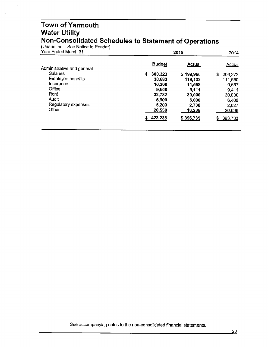#### **Town of Yarmouth Water Utility Non-Consolidated Schedules to Statement of Operations**

(Unaudited – See Notice to Reader)

 $\ddot{\phantom{a}}$ 

| Year Ended March 31        | 2015          | 2014      |               |
|----------------------------|---------------|-----------|---------------|
| Administrative and general | <b>Budget</b> | Actual    | <b>Actual</b> |
| <b>Salaries</b>            | S<br>300,323  | \$199,960 | \$<br>203,272 |
| <b>Employee benefits</b>   | 38,683        | 119,133   | 111,660       |
| Insurance                  | 10,200        | 11,558    | 9,667         |
| Office                     | 9.600         | 9,111     | 9.411         |
| Rent                       | 32,782        | 30,000    | 30,000        |
| Audit                      | 5,900         | 6,000     | 6,400         |
| Regulatory expenses        | 5,200         | 2,738     | 2,627         |
| Other                      | 20,550        | 18,235    | 20,696        |
|                            | 423,238       | \$396,735 | 393,733<br>S. |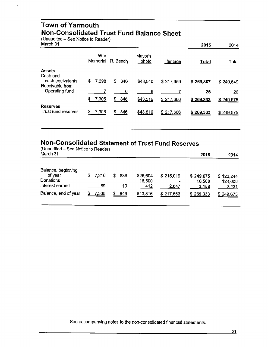#### **Town of Yarmouth Non-Consolidated Trust Fund Balance Sheet**

(Unaudited – See Notice to Reader)<br>March 31

 $\ddot{\phantom{0}}$ 

| March 31                                        |                 |           |                  |           | 2015         | 2014         |
|-------------------------------------------------|-----------------|-----------|------------------|-----------|--------------|--------------|
|                                                 | War<br>Memorial | R. Bench  | Mayor's<br>photo | Heritage  | <b>Total</b> | <b>Total</b> |
| <b>Assets</b>                                   |                 |           |                  |           |              |              |
| Cash and<br>cash equivalents<br>Receivable from | \$<br>7,298     | \$<br>840 | \$43,510         | \$217,659 | \$269,307    | \$249,649    |
| Operating fund                                  |                 | 6         | 6                |           | 26           | 26           |
|                                                 | S.<br>7,305     | \$846     | \$43,516         | \$217,666 | \$269,333    | \$249,675    |
| <b>Reserves</b><br>Trust fund reserves          | \$<br>7,305     | 846<br>S. | \$43,516         | \$217,666 | \$269,333    | \$249,675    |

### **Non-Consolidated Statement of Trust Fund Reserves**

| (Unaudited – See Notice to Reader)<br>March 31                |   |             |    |           |                           |                    | 2015                         | 2014                          |
|---------------------------------------------------------------|---|-------------|----|-----------|---------------------------|--------------------|------------------------------|-------------------------------|
| Balance, beginning<br>of year<br>Donations<br>Interest earned | S | 7,216<br>89 | S. | 836<br>10 | \$26,604<br>16,500<br>412 | \$215,019<br>2.647 | \$249,675<br>16,500<br>3,158 | \$123,244<br>124,000<br>2,431 |
| Balance, end of year                                          |   | 7,305       | S  | 846       | \$43,516                  | \$217,666          | \$269,333                    | \$249,675                     |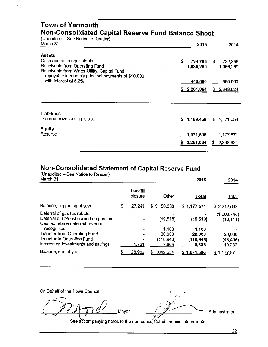#### **Town of Yarmouth Non-Consolidated Capital Reserve Fund Balance Sheet**

(Unaudited - See Notice to Reader)

| March 31                                                                      | 2015            | 2014            |
|-------------------------------------------------------------------------------|-----------------|-----------------|
| <b>Assets</b>                                                                 |                 |                 |
| Cash and cash equivalents                                                     | \$<br>734,795   | S.<br>722,355   |
| Receivable from Operating Fund<br>Receivable from Water Utility, Capital Fund | 1,086,269       | 1,066,269       |
| repayable in monthly principal payments of \$10,000                           |                 |                 |
| with interest at 5.2%                                                         | 440,000         | 560,000         |
|                                                                               | 2,261,064<br>S. | 2,348,624<br>S. |
|                                                                               |                 |                 |
| Liabilities                                                                   |                 |                 |
| Deferred revenue $-$ gas tax                                                  | 1,189,468<br>S. | \$1,171,053     |
| <b>Equity</b>                                                                 |                 |                 |
| Reserve                                                                       | 1,071,596       | 1,177,571       |
|                                                                               | 2,261,064<br>s  | £.<br>2,348,624 |
|                                                                               |                 |                 |

#### **Non-Consolidated Statement of Capital Reserve Fund**

(Unaudited - See Notice to Reader)

| March 31                                                                                                |   |                     |             | 2015        | 2014                     |
|---------------------------------------------------------------------------------------------------------|---|---------------------|-------------|-------------|--------------------------|
|                                                                                                         |   | Landfill<br>closure | Other       | Total       | <u>Total</u>             |
| Balance, beginning of year                                                                              | S | 27,241              | \$1,150,330 | \$1,177,571 | \$2,212,693              |
| Deferral of gas tax rebate<br>Deferral of interest earned on gas tax<br>Gas tax rebate deferred revenue |   |                     | (19, 518)   | (19, 518)   | (1,003,748)<br>(18, 111) |
| recognized                                                                                              |   |                     | 1,103       | 1,103       |                          |
| <b>Transfer from Operating Fund</b>                                                                     |   |                     | 20,000      | 20,000      | 20,000                   |
| Transfer to Operating Fund                                                                              |   |                     | (116, 946)  | (116, 946)  | (43,495)                 |
| Interest on investments and savings                                                                     |   | 1.721               | 7,665       | 9,386       | 10,232                   |
| Balance, end of year                                                                                    |   | 28,962              | \$1,042,634 | \$1,071,596 | \$1,177,571              |

On Behalf of the Town Council

<sup>~</sup> *,·,-):\_*

Mayor  $\frac{1}{2}$   $\frac{1}{2}$   $\frac{1}{2}$  Administrator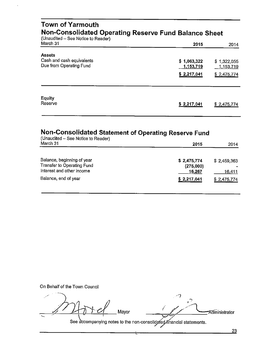#### **Town of Yarmouth Non-Consolidated Operating Reserve Fund Balance Sheet**

(Unaudited – See Notice to Reader)

| March 31                  | 2015        | 2014             |
|---------------------------|-------------|------------------|
| <b>Assets</b>             |             |                  |
| Cash and cash equivalents | \$1,063,322 | \$1,322,055      |
| Due from Operating Fund   | 1,153,719   | <u>1,153,719</u> |
|                           | \$2,217,041 | \$2,475,774      |
| <b>Equity</b>             |             |                  |
| Reserve                   | \$2,217,041 | \$2,475,774      |

#### **Non-Consolidated Statement of Operating Reserve Fund**

| (Unaudited - See Notice to Reader)<br>March 31                                        | 2015                               | 2014                  |
|---------------------------------------------------------------------------------------|------------------------------------|-----------------------|
|                                                                                       |                                    |                       |
| Balance, beginning of year<br>Transfer to Operating Fund<br>Interest and other income | \$2,475,774<br>(275,000)<br>16,267 | \$2,459,363<br>16,411 |
| Balance, end of year                                                                  | \$2,217,041                        | \$2,475,774           |

On Behalf of the Town Council

7100 Mayor - $\frac{1}{2}$  .  $\frac{1}{2}$  Mayor

/<br>Admini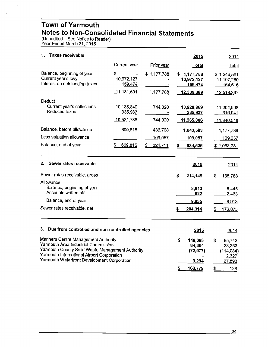#### **Town of Yarmouth Notes to Non-Consolidated Financial Statements**

(Unaudited – See Notice to Reader) Year Ended March31, 2015

 $\ddot{\phantom{a}}$ 

| 1.<br><b>Taxes receivable</b>                                                                                                                                                                                                |                                           |                          | 2015                                                   | 2014                                                      |
|------------------------------------------------------------------------------------------------------------------------------------------------------------------------------------------------------------------------------|-------------------------------------------|--------------------------|--------------------------------------------------------|-----------------------------------------------------------|
|                                                                                                                                                                                                                              | Current year                              | Prior year               | Total                                                  | <b>Total</b>                                              |
| Balance, beginning of year<br>Current year's levy<br>Interest on outstanding taxes                                                                                                                                           | \$<br>10,972,127<br>159,474<br>11,131,601 | \$1,177,788<br>1,177,788 | 1,177,788<br>S.<br>10,972,127<br>159,474<br>12,309,389 | \$1,246,561<br>11,107,260<br><u>164,516</u><br>12,518,337 |
| Deduct<br>Current year's collections<br>Reduced taxes                                                                                                                                                                        | 10,185,849<br>335,937<br>10,521,786       | 744,020<br>744,020       | 10,929,869<br>335,937<br>11,265,806                    | 11,204,508<br>316,041<br>11,340,549                       |
| Balance, before allowance                                                                                                                                                                                                    | 609,815                                   | 433,768                  | 1,043,583                                              | 1,177,788                                                 |
| Less valuation allowance                                                                                                                                                                                                     |                                           | 109,057                  | 109,057                                                | 109,057                                                   |
| Balance, end of year                                                                                                                                                                                                         | 609,815<br>S.                             | \$<br>324,711            | 934,526<br>s                                           | \$1,068,731                                               |
| Sewer rates receivable<br>2.                                                                                                                                                                                                 |                                           |                          | 2015                                                   | 2014                                                      |
| Sewer rates receivable, gross<br>Allowance<br>Balance, beginning of year<br>Accounts written off                                                                                                                             |                                           |                          | \$<br>214,149<br>8,913<br>922                          | \$<br>185,788<br>6,445<br>2,468                           |
| Balance, end of year                                                                                                                                                                                                         |                                           |                          | 9,835                                                  | 8,913                                                     |
| Sewer rates receivable, net                                                                                                                                                                                                  |                                           |                          | 204,314<br>S                                           | 176,875                                                   |
| 3.<br>Due from controlled and non-controlled agencies                                                                                                                                                                        |                                           |                          | 2015                                                   | 2014                                                      |
| Mariners Centre Management Authority<br>Yarmouth Area Industrial Commission<br>Yarmouth County Solid Waste Management Authority<br>Yarmouth International Airport Corporation<br>Yarmouth Waterfront Development Corporation |                                           |                          | \$<br>148,098<br>84,364<br>(72, 977)<br>9,294          | \$<br>55,742<br>28,263<br>(114,084)<br>2,327<br>27,890    |
|                                                                                                                                                                                                                              |                                           |                          | \$<br>168,779                                          | \$<br>138                                                 |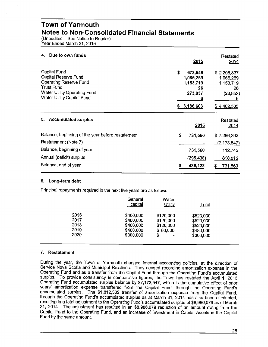#### **Town of Yarmouth Notes to Non-Consolidated Financial Statements**

(Unaudited - See Notice to Reader) Year Ended March 31, 2015

| Due to own funds<br>4.                                                                                                                            | 2015                                                                         | Restated<br>2014                                                             |
|---------------------------------------------------------------------------------------------------------------------------------------------------|------------------------------------------------------------------------------|------------------------------------------------------------------------------|
| Capital Fund<br>Capital Reserve Fund<br><b>Operating Reserve Fund</b><br>Trust Fund<br>Water Utility Operating Fund<br>Water Utility Capital Fund | \$<br>673,546<br>1,086,269<br>1,153,719<br>26<br>273,037<br>6<br>\$3,186,603 | \$2,206,337<br>1,066,269<br>1,153,719<br>26<br>(23, 852)<br>b<br>\$4,402,505 |
| <b>Accumulated surplus</b><br>5.                                                                                                                  | 2015                                                                         | Restated<br>2014                                                             |
| Balance, beginning of the year before restatement<br>Restatement (Note 7)                                                                         | \$<br>731,560                                                                | \$7,286,292<br>(7, 173, 547)                                                 |
| Balance, beginning of year                                                                                                                        | 731,560                                                                      | 112,745                                                                      |
| Annual (deficit) surplus                                                                                                                          | (295,438)                                                                    | 618,815                                                                      |
| Balance, end of year                                                                                                                              | 436,122                                                                      | 731,560                                                                      |

#### **6. Long-term debt**

Principal repayments required in the next five years are as follows:

|                              | General<br>capital                               | Water<br><b>Utility</b>                         | <u>Total</u>                                     |  |
|------------------------------|--------------------------------------------------|-------------------------------------------------|--------------------------------------------------|--|
| 2016<br>2017<br>2018<br>2019 | \$400,000<br>\$400,000<br>\$400,000<br>\$400,000 | \$120,000<br>\$120,000<br>\$120,000<br>\$80,000 | \$520,000<br>\$520,000<br>\$520,000<br>\$480,000 |  |
| 2020                         | \$300,000                                        | S<br>-                                          | \$300,000                                        |  |

#### **7. Restatement**

During the year, the Town of Yarmouth changed internal accounting policies, at the direction of Service Nova Scotia and Municipal Relations. They ceased recording amortization expense in the Operating Fund and as a transfer from the Capital Fund through the Operating Fund's accumulated surplus. To provide consistency in comparative figures, the Town has restated the April 1, 2013 Operating Fund accumulated surplus balance by \$7, 173,547, which is the cumulative effect of prior years' amortization expense transferred from the Capital Fund, through the Operating Fund's accumulated surplus. The \$1,812,532 transfer of amortization expense from the Capital Fund, through the Operating Fund's accumulated surplus as at March 31, 2014 has also been eliminated, resulting in a total adjustment to the Operating Fund's accumulated surplus of \$8,986,079 as of March 31, 2014. The adjustment has resulted in an \$8,986,079 reduction of an amount owing from the Capital Fund to the Operating Fund, and an increase of Investment in Capital Assets in the Capital Fund by the same amount.